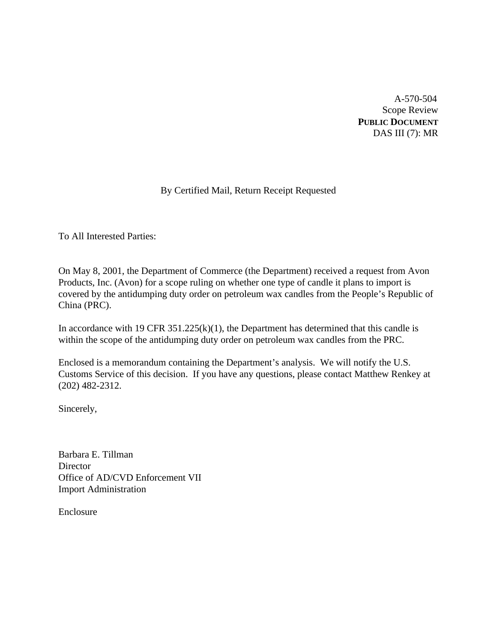A-570-504 Scope Review **PUBLIC DOCUMENT** DAS III (7): MR

# By Certified Mail, Return Receipt Requested

To All Interested Parties:

On May 8, 2001, the Department of Commerce (the Department) received a request from Avon Products, Inc. (Avon) for a scope ruling on whether one type of candle it plans to import is covered by the antidumping duty order on petroleum wax candles from the People's Republic of China (PRC).

In accordance with 19 CFR  $351.225(k)(1)$ , the Department has determined that this candle is within the scope of the antidumping duty order on petroleum wax candles from the PRC.

Enclosed is a memorandum containing the Department's analysis. We will notify the U.S. Customs Service of this decision. If you have any questions, please contact Matthew Renkey at (202) 482-2312.

Sincerely,

Barbara E. Tillman **Director** Office of AD/CVD Enforcement VII Import Administration

Enclosure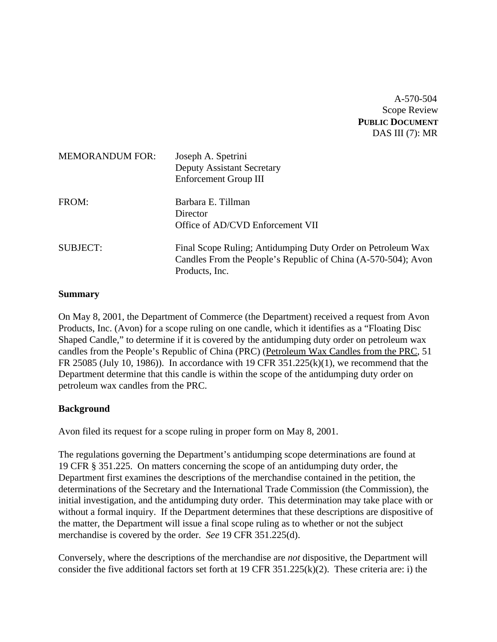A-570-504 Scope Review **PUBLIC DOCUMENT** DAS III (7): MR

| <b>MEMORANDUM FOR:</b> | Joseph A. Spetrini<br><b>Deputy Assistant Secretary</b><br>Enforcement Group III                                                               |
|------------------------|------------------------------------------------------------------------------------------------------------------------------------------------|
| FROM:                  | Barbara E. Tillman<br>Director<br>Office of AD/CVD Enforcement VII                                                                             |
| <b>SUBJECT:</b>        | Final Scope Ruling; Antidumping Duty Order on Petroleum Wax<br>Candles From the People's Republic of China (A-570-504); Avon<br>Products, Inc. |

#### **Summary**

On May 8, 2001, the Department of Commerce (the Department) received a request from Avon Products, Inc. (Avon) for a scope ruling on one candle, which it identifies as a "Floating Disc Shaped Candle," to determine if it is covered by the antidumping duty order on petroleum wax candles from the People's Republic of China (PRC) (Petroleum Wax Candles from the PRC, 51 FR 25085 (July 10, 1986)). In accordance with 19 CFR 351.225(k)(1), we recommend that the Department determine that this candle is within the scope of the antidumping duty order on petroleum wax candles from the PRC.

# **Background**

Avon filed its request for a scope ruling in proper form on May 8, 2001.

The regulations governing the Department's antidumping scope determinations are found at 19 CFR § 351.225. On matters concerning the scope of an antidumping duty order, the Department first examines the descriptions of the merchandise contained in the petition, the determinations of the Secretary and the International Trade Commission (the Commission), the initial investigation, and the antidumping duty order. This determination may take place with or without a formal inquiry. If the Department determines that these descriptions are dispositive of the matter, the Department will issue a final scope ruling as to whether or not the subject merchandise is covered by the order. *See* 19 CFR 351.225(d).

Conversely, where the descriptions of the merchandise are *not* dispositive, the Department will consider the five additional factors set forth at 19 CFR 351.225(k)(2). These criteria are: i) the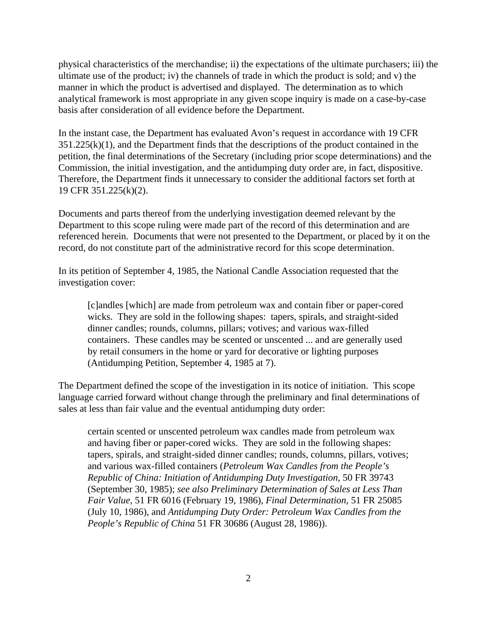physical characteristics of the merchandise; ii) the expectations of the ultimate purchasers; iii) the ultimate use of the product; iv) the channels of trade in which the product is sold; and v) the manner in which the product is advertised and displayed. The determination as to which analytical framework is most appropriate in any given scope inquiry is made on a case-by-case basis after consideration of all evidence before the Department.

In the instant case, the Department has evaluated Avon's request in accordance with 19 CFR  $351.225(k)(1)$ , and the Department finds that the descriptions of the product contained in the petition, the final determinations of the Secretary (including prior scope determinations) and the Commission, the initial investigation, and the antidumping duty order are, in fact, dispositive. Therefore, the Department finds it unnecessary to consider the additional factors set forth at 19 CFR 351.225(k)(2).

Documents and parts thereof from the underlying investigation deemed relevant by the Department to this scope ruling were made part of the record of this determination and are referenced herein. Documents that were not presented to the Department, or placed by it on the record, do not constitute part of the administrative record for this scope determination.

In its petition of September 4, 1985, the National Candle Association requested that the investigation cover:

[c]andles [which] are made from petroleum wax and contain fiber or paper-cored wicks. They are sold in the following shapes: tapers, spirals, and straight-sided dinner candles; rounds, columns, pillars; votives; and various wax-filled containers. These candles may be scented or unscented ... and are generally used by retail consumers in the home or yard for decorative or lighting purposes (Antidumping Petition, September 4, 1985 at 7).

The Department defined the scope of the investigation in its notice of initiation. This scope language carried forward without change through the preliminary and final determinations of sales at less than fair value and the eventual antidumping duty order:

certain scented or unscented petroleum wax candles made from petroleum wax and having fiber or paper-cored wicks. They are sold in the following shapes: tapers, spirals, and straight-sided dinner candles; rounds, columns, pillars, votives; and various wax-filled containers (*Petroleum Wax Candles from the People's Republic of China: Initiation of Antidumping Duty Investigation*, 50 FR 39743 (September 30, 1985); *see also Preliminary Determination of Sales at Less Than Fair Value,* 51 FR 6016 (February 19, 1986), *Final Determination,* 51 FR 25085 (July 10, 1986), and *Antidumping Duty Order: Petroleum Wax Candles from the People's Republic of China* 51 FR 30686 (August 28, 1986)).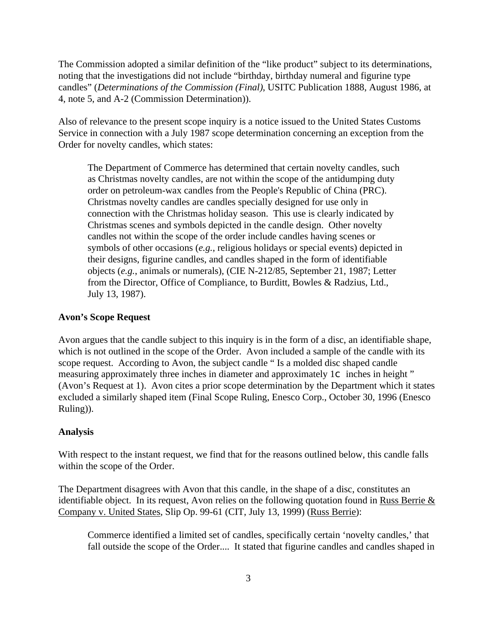The Commission adopted a similar definition of the "like product" subject to its determinations, noting that the investigations did not include "birthday, birthday numeral and figurine type candles" (*Determinations of the Commission (Final)*, USITC Publication 1888, August 1986, at 4, note 5, and A-2 (Commission Determination)).

Also of relevance to the present scope inquiry is a notice issued to the United States Customs Service in connection with a July 1987 scope determination concerning an exception from the Order for novelty candles, which states:

The Department of Commerce has determined that certain novelty candles, such as Christmas novelty candles, are not within the scope of the antidumping duty order on petroleum-wax candles from the People's Republic of China (PRC). Christmas novelty candles are candles specially designed for use only in connection with the Christmas holiday season. This use is clearly indicated by Christmas scenes and symbols depicted in the candle design. Other novelty candles not within the scope of the order include candles having scenes or symbols of other occasions (*e.g.*, religious holidays or special events) depicted in their designs, figurine candles, and candles shaped in the form of identifiable objects (*e.g.*, animals or numerals), (CIE N-212/85, September 21, 1987; Letter from the Director, Office of Compliance, to Burditt, Bowles & Radzius, Ltd., July 13, 1987).

#### **Avon's Scope Request**

Avon argues that the candle subject to this inquiry is in the form of a disc, an identifiable shape, which is not outlined in the scope of the Order. Avon included a sample of the candle with its scope request. According to Avon, the subject candle " Is a molded disc shaped candle measuring approximately three inches in diameter and approximately  $1\text{C}$  inches in height " (Avon's Request at 1). Avon cites a prior scope determination by the Department which it states excluded a similarly shaped item (Final Scope Ruling, Enesco Corp., October 30, 1996 (Enesco Ruling)).

#### **Analysis**

With respect to the instant request, we find that for the reasons outlined below, this candle falls within the scope of the Order.

The Department disagrees with Avon that this candle, in the shape of a disc, constitutes an identifiable object. In its request, Avon relies on the following quotation found in Russ Berrie  $\&$ Company v. United States, Slip Op. 99-61 (CIT, July 13, 1999) (Russ Berrie):

Commerce identified a limited set of candles, specifically certain 'novelty candles,' that fall outside the scope of the Order.... It stated that figurine candles and candles shaped in